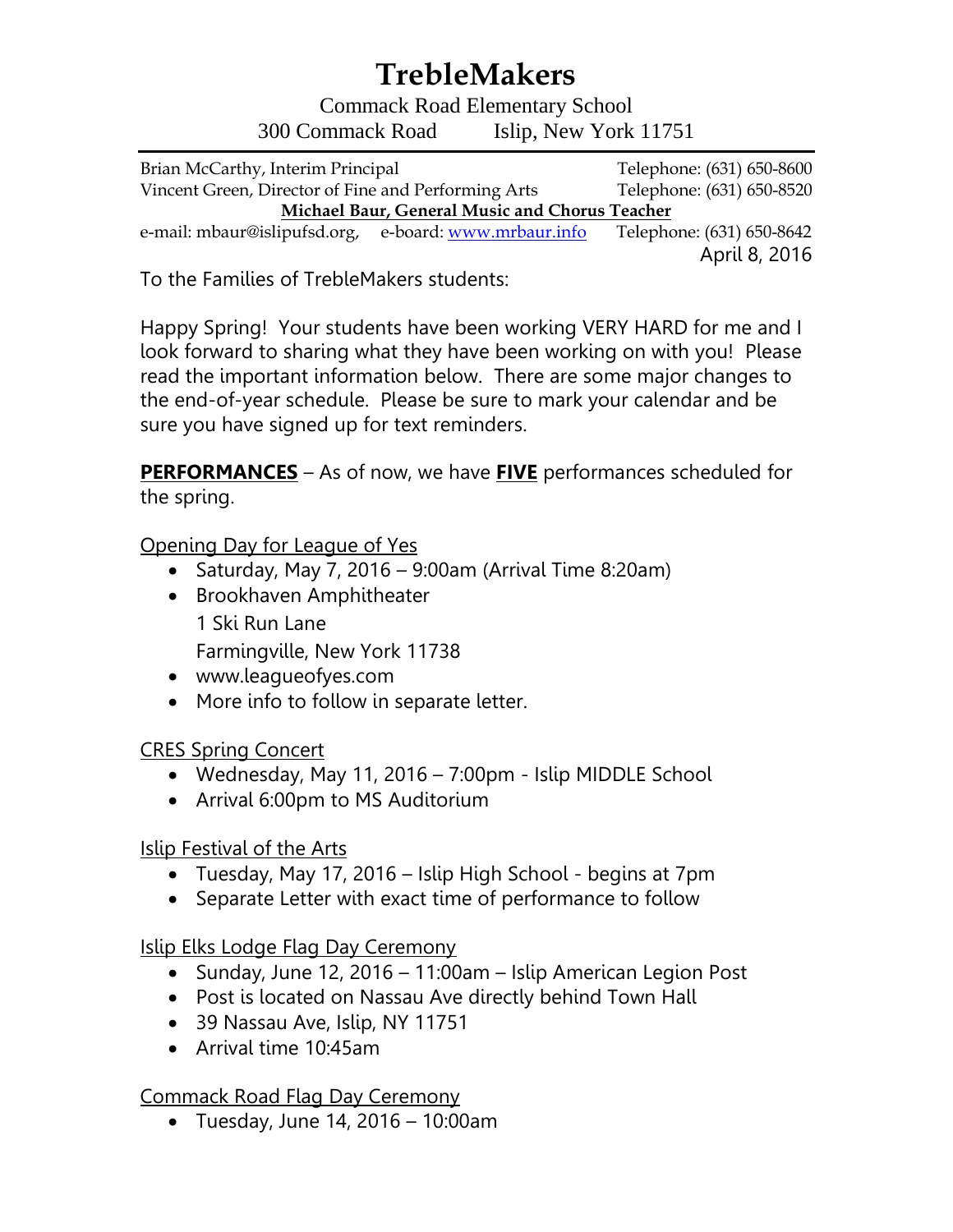# **TrebleMakers**

Commack Road Elementary School 300 Commack Road Islip, New York 11751

Brian McCarthy, Interim Principal Telephone: (631) 650-8600 Vincent Green, Director of Fine and Performing Arts Telephone: (631) 650-8520 **Michael Baur, General Music and Chorus Teacher**  e-mail: mbaur@islipufsd.org, e-board: [www.mrbaur.info](http://www.mrbaur.info/) Telephone: (631) 650-8642

April 8, 2016

To the Families of TrebleMakers students:

Happy Spring! Your students have been working VERY HARD for me and I look forward to sharing what they have been working on with you! Please read the important information below. There are some major changes to the end-of-year schedule. Please be sure to mark your calendar and be sure you have signed up for text reminders.

**PERFORMANCES** – As of now, we have **FIVE** performances scheduled for the spring.

Opening Day for League of Yes

- Saturday, May 7, 2016 9:00am (Arrival Time 8:20am)
- Brookhaven Amphitheater 1 Ski Run Lane Farmingville, New York 11738
- www.leagueofyes.com
- More info to follow in separate letter.

CRES Spring Concert

- Wednesday, May 11, 2016 7:00pm Islip MIDDLE School
- Arrival 6:00pm to MS Auditorium

Islip Festival of the Arts

- Tuesday, May 17, 2016 Islip High School begins at 7pm
- Separate Letter with exact time of performance to follow

Islip Elks Lodge Flag Day Ceremony

- Sunday, June 12, 2016 11:00am Islip American Legion Post
- Post is located on Nassau Ave directly behind Town Hall
- 39 Nassau Ave, Islip, NY 11751
- Arrival time 10:45am

Commack Road Flag Day Ceremony

 $\bullet$  Tuesday, June 14, 2016 - 10:00am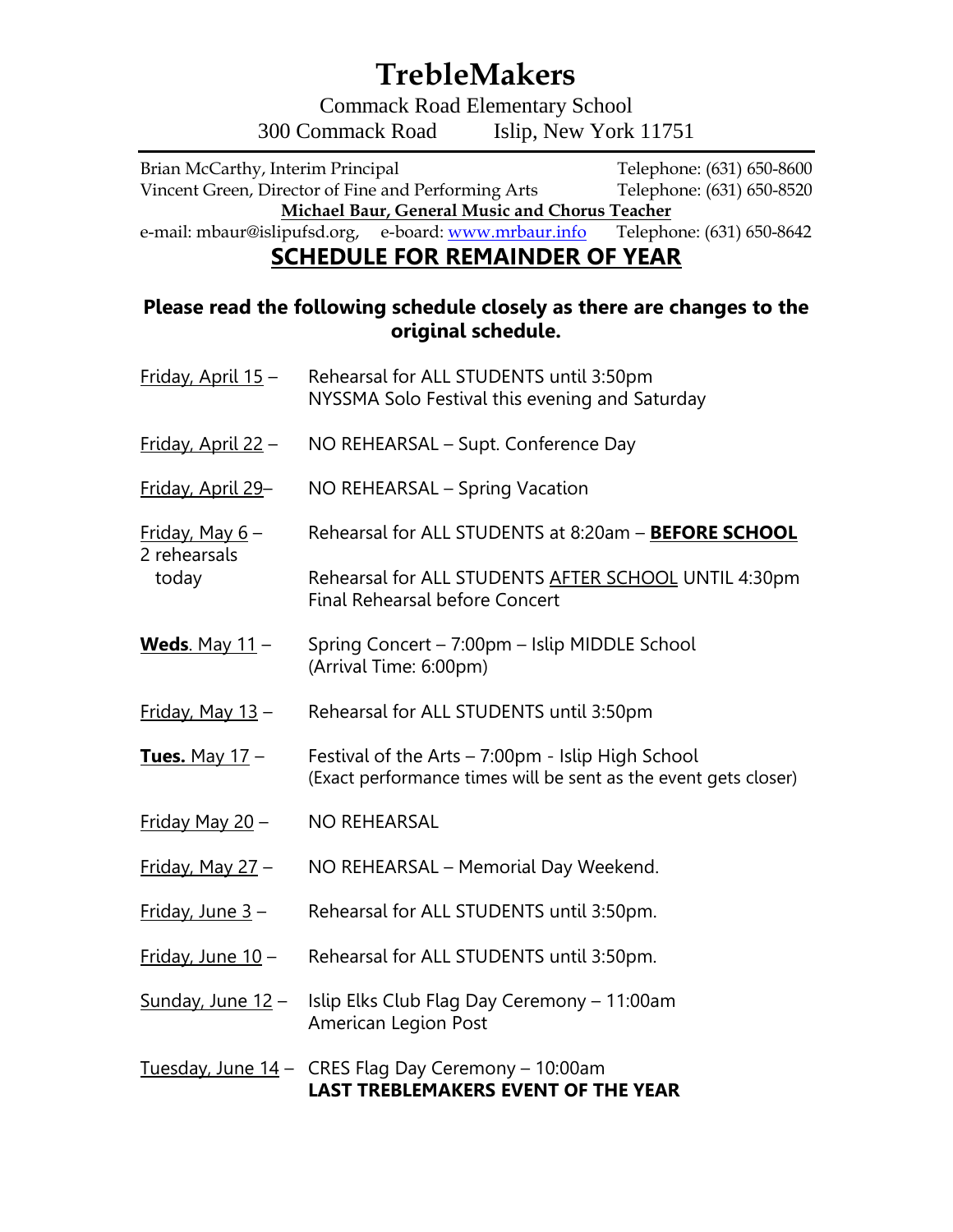### **TrebleMakers**

Commack Road Elementary School 300 Commack Road Islip, New York 11751

Brian McCarthy, Interim Principal Telephone: (631) 650-8600 Vincent Green, Director of Fine and Performing Arts Telephone: (631) 650-8520 **Michael Baur, General Music and Chorus Teacher**<br>
ipufsd.org, e-board: **www.mrbaur.info** Telephone: (631) 650-8642

e-mail: mbaur@islipufsd.org, e-board: www.mrbaur.info

### **SCHEDULE FOR REMAINDER OF YEAR**

#### **Please read the following schedule closely as there are changes to the original schedule.**

| Friday, April 15 -                      | Rehearsal for ALL STUDENTS until 3:50pm<br>NYSSMA Solo Festival this evening and Saturday                            |
|-----------------------------------------|----------------------------------------------------------------------------------------------------------------------|
| Friday, April 22 -                      | NO REHEARSAL - Supt. Conference Day                                                                                  |
| Friday, April 29-                       | NO REHEARSAL – Spring Vacation                                                                                       |
| Friday, May 6-<br>2 rehearsals<br>today | Rehearsal for ALL STUDENTS at 8:20am - BEFORE SCHOOL                                                                 |
|                                         | Rehearsal for ALL STUDENTS AFTER SCHOOL UNTIL 4:30pm<br><b>Final Rehearsal before Concert</b>                        |
| Weds. May $11 -$                        | Spring Concert - 7:00pm - Islip MIDDLE School<br>(Arrival Time: 6:00pm)                                              |
| Friday, May 13 -                        | Rehearsal for ALL STUDENTS until 3:50pm                                                                              |
| <b>Tues.</b> May 17 -                   | Festival of the Arts - 7:00pm - Islip High School<br>(Exact performance times will be sent as the event gets closer) |
| <u>Friday May 20</u> -                  | <b>NO REHEARSAL</b>                                                                                                  |
| <u> Friday, May 27</u> –                | NO REHEARSAL - Memorial Day Weekend.                                                                                 |
| <u>Friday, June 3</u> -                 | Rehearsal for ALL STUDENTS until 3:50pm.                                                                             |
| Friday, June 10 -                       | Rehearsal for ALL STUDENTS until 3:50pm.                                                                             |
| Sunday, June 12 -                       | Islip Elks Club Flag Day Ceremony - 11:00am<br>American Legion Post                                                  |
| <u>Tuesday, June 14</u> -               | CRES Flag Day Ceremony - 10:00am<br><b>LAST TREBLEMAKERS EVENT OF THE YEAR</b>                                       |